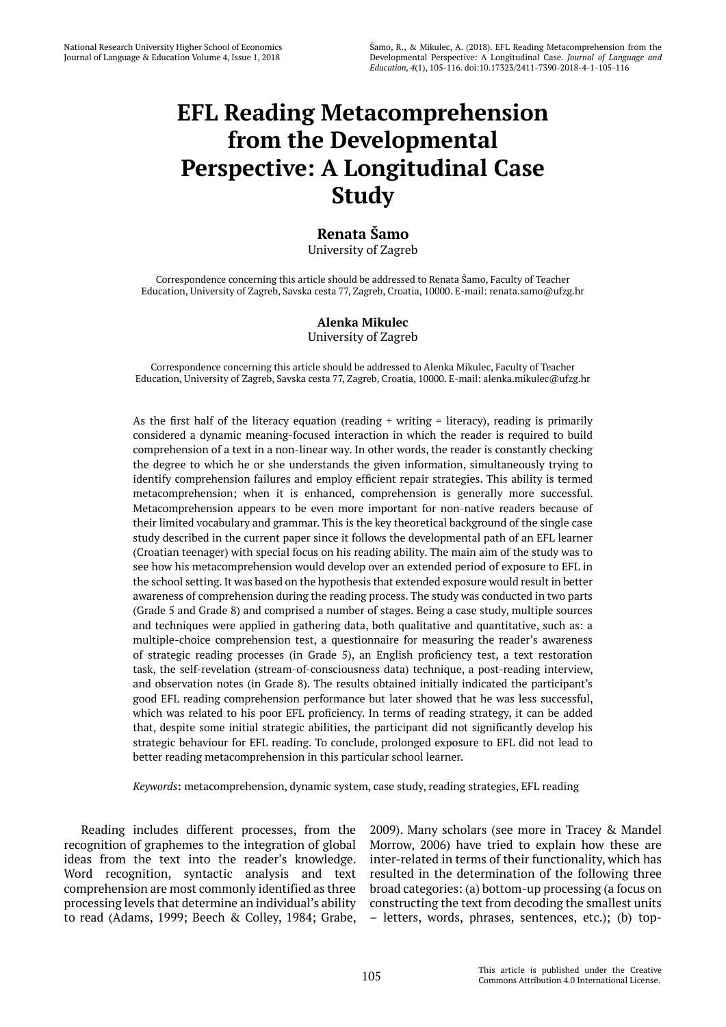# **EFL Reading Metacomprehension from the Developmental Perspective: A Longitudinal Case Study**

## **Renata Šamo**

University of Zagreb

Correspondence concerning this article should be addressed to Renata Šamo, Faculty of Teacher Education, University of Zagreb, Savska cesta 77, Zagreb, Croatia, 10000. E-mail: renata.samo@ufzg.hr

### **Alenka Mikulec** University of Zagreb

Correspondence concerning this article should be addressed to Alenka Mikulec, Faculty of Teacher Education, University of Zagreb, Savska cesta 77, Zagreb, Croatia, 10000. E-mail: alenka.mikulec@ufzg.hr

As the first half of the literacy equation (reading  $+$  writing  $=$  literacy), reading is primarily considered a dynamic meaning-focused interaction in which the reader is required to build comprehension of a text in a non-linear way. In other words, the reader is constantly checking the degree to which he or she understands the given information, simultaneously trying to identify comprehension failures and employ efficient repair strategies. This ability is termed metacomprehension; when it is enhanced, comprehension is generally more successful. Metacomprehension appears to be even more important for non-native readers because of their limited vocabulary and grammar. This is the key theoretical background of the single case study described in the current paper since it follows the developmental path of an EFL learner (Croatian teenager) with special focus on his reading ability. The main aim of the study was to see how his metacomprehension would develop over an extended period of exposure to EFL in the school setting. It was based on the hypothesis that extended exposure would result in better awareness of comprehension during the reading process. The study was conducted in two parts (Grade 5 and Grade 8) and comprised a number of stages. Being a case study, multiple sources and techniques were applied in gathering data, both qualitative and quantitative, such as: a multiple-choice comprehension test, a questionnaire for measuring the reader's awareness of strategic reading processes (in Grade 5), an English proficiency test, a text restoration task, the self-revelation (stream-of-consciousness data) technique, a post-reading interview, and observation notes (in Grade 8). The results obtained initially indicated the participant's good EFL reading comprehension performance but later showed that he was less successful, which was related to his poor EFL proficiency. In terms of reading strategy, it can be added that, despite some initial strategic abilities, the participant did not significantly develop his strategic behaviour for EFL reading. To conclude, prolonged exposure to EFL did not lead to better reading metacomprehension in this particular school learner.

*Keywords***:** metacomprehension, dynamic system, case study, reading strategies, EFL reading

Reading includes different processes, from the recognition of graphemes to the integration of global ideas from the text into the reader's knowledge. Word recognition, syntactic analysis and text comprehension are most commonly identified as three processing levels that determine an individual's ability to read (Adams, 1999; Beech & Colley, 1984; Grabe,

2009). Many scholars (see more in Tracey & Mandel Morrow, 2006) have tried to explain how these are inter-related in terms of their functionality, which has resulted in the determination of the following three broad categories: (a) bottom-up processing (a focus on constructing the text from decoding the smallest units – letters, words, phrases, sentences, etc.); (b) top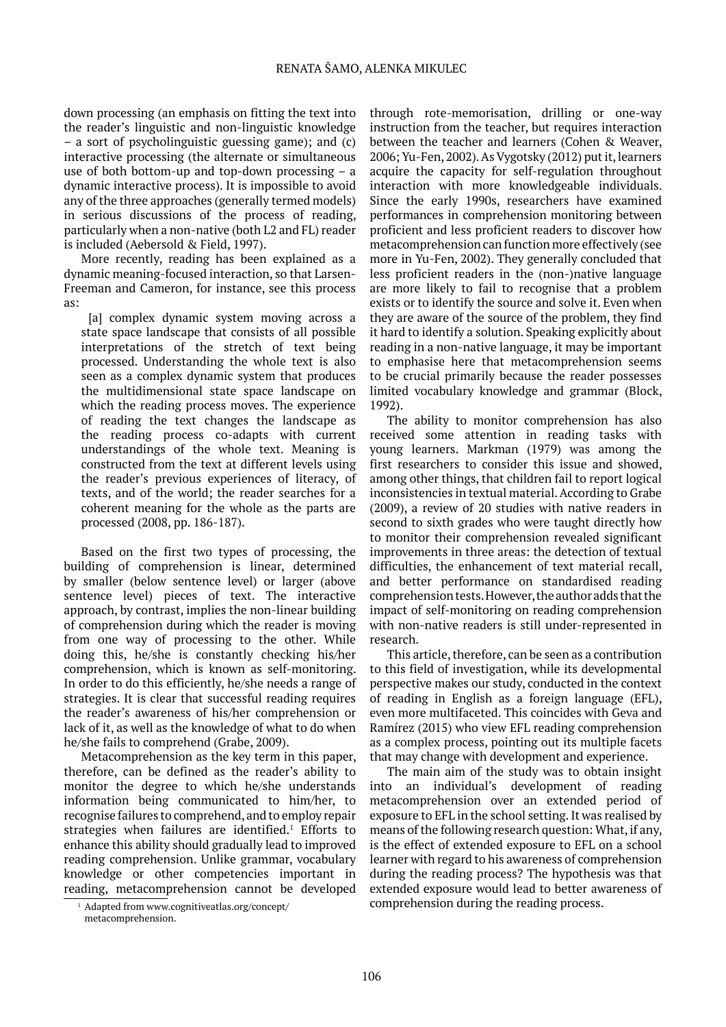down processing (an emphasis on fitting the text into the reader's linguistic and non-linguistic knowledge – a sort of psycholinguistic guessing game); and (c) interactive processing (the alternate or simultaneous use of both bottom-up and top-down processing – a dynamic interactive process). It is impossible to avoid any of the three approaches (generally termed models) in serious discussions of the process of reading, particularly when a non-native (both L2 and FL) reader is included (Aebersold & Field, 1997).

More recently, reading has been explained as a dynamic meaning-focused interaction, so that Larsen-Freeman and Cameron, for instance, see this process as:

[a] complex dynamic system moving across a state space landscape that consists of all possible interpretations of the stretch of text being processed. Understanding the whole text is also seen as a complex dynamic system that produces the multidimensional state space landscape on which the reading process moves. The experience of reading the text changes the landscape as the reading process co-adapts with current understandings of the whole text. Meaning is constructed from the text at different levels using the reader's previous experiences of literacy, of texts, and of the world; the reader searches for a coherent meaning for the whole as the parts are processed (2008, pp. 186-187).

Based on the first two types of processing, the building of comprehension is linear, determined by smaller (below sentence level) or larger (above sentence level) pieces of text. The interactive approach, by contrast, implies the non-linear building of comprehension during which the reader is moving from one way of processing to the other. While doing this, he/she is constantly checking his/her comprehension, which is known as self-monitoring. In order to do this efficiently, he/she needs a range of strategies. It is clear that successful reading requires the reader's awareness of his/her comprehension or lack of it, as well as the knowledge of what to do when he/she fails to comprehend (Grabe, 2009).

Metacomprehension as the key term in this paper, therefore, can be defined as the reader's ability to monitor the degree to which he/she understands information being communicated to him/her, to recognise failures to comprehend, and to employ repair strategies when failures are identified.<sup>1</sup> Efforts to enhance this ability should gradually lead to improved reading comprehension. Unlike grammar, vocabulary knowledge or other competencies important in reading, metacomprehension cannot be developed

through rote-memorisation, drilling or one-way instruction from the teacher, but requires interaction between the teacher and learners (Cohen & Weaver, 2006; Yu-Fen, 2002). As Vygotsky (2012) put it, learners acquire the capacity for self-regulation throughout interaction with more knowledgeable individuals. Since the early 1990s, researchers have examined performances in comprehension monitoring between proficient and less proficient readers to discover how metacomprehension can function more effectively (see more in Yu-Fen, 2002). They generally concluded that less proficient readers in the (non-)native language are more likely to fail to recognise that a problem exists or to identify the source and solve it. Even when they are aware of the source of the problem, they find it hard to identify a solution. Speaking explicitly about reading in a non-native language, it may be important to emphasise here that metacomprehension seems to be crucial primarily because the reader possesses limited vocabulary knowledge and grammar (Block, 1992).

The ability to monitor comprehension has also received some attention in reading tasks with young learners. Markman (1979) was among the first researchers to consider this issue and showed, among other things, that children fail to report logical inconsistencies in textual material. According to Grabe (2009), a review of 20 studies with native readers in second to sixth grades who were taught directly how to monitor their comprehension revealed significant improvements in three areas: the detection of textual difficulties, the enhancement of text material recall, and better performance on standardised reading comprehension tests. However, the author adds that the impact of self-monitoring on reading comprehension with non-native readers is still under-represented in research.

This article, therefore, can be seen as a contribution to this field of investigation, while its developmental perspective makes our study, conducted in the context of reading in English as a foreign language (EFL), even more multifaceted. This coincides with Geva and Ramírez (2015) who view EFL reading comprehension as a complex process, pointing out its multiple facets that may change with development and experience.

The main aim of the study was to obtain insight into an individual's development of reading metacomprehension over an extended period of exposure to EFL in the school setting. It was realised by means of the following research question: What, if any, is the effect of extended exposure to EFL on a school learner with regard to his awareness of comprehension during the reading process? The hypothesis was that extended exposure would lead to better awareness of comprehension during the reading process.

<sup>&</sup>lt;sup>1</sup> Adapted from www.cognitiveatlas.org/concept/ metacomprehension.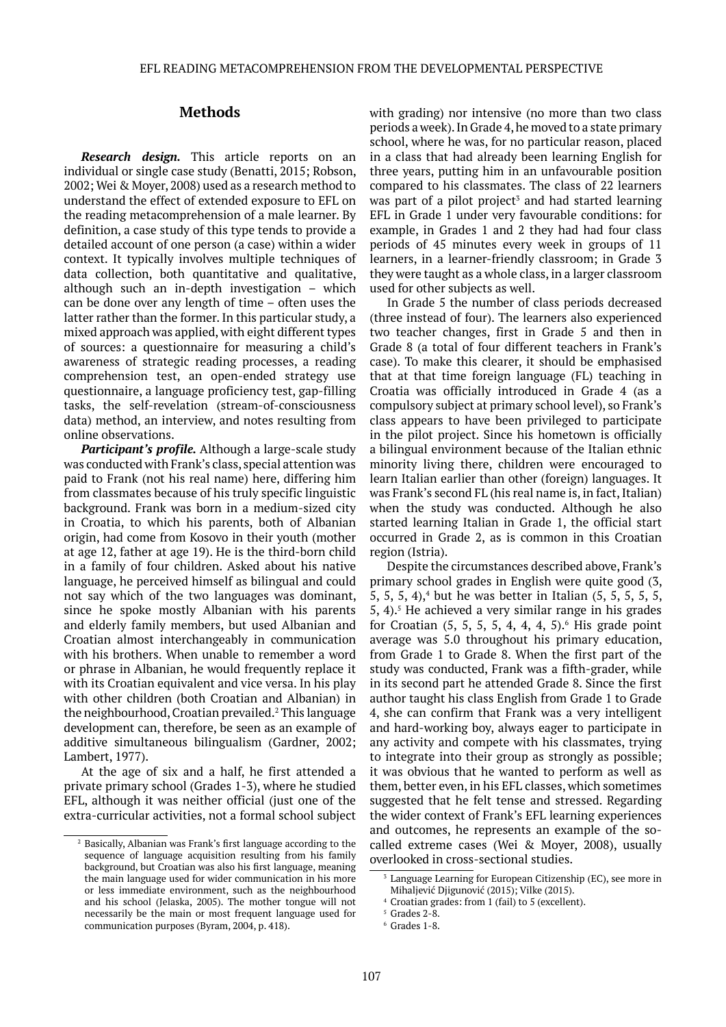### **Methods**

*Research design.* This article reports on an individual or single case study (Benatti, 2015; Robson, 2002; Wei & Moyer, 2008) used as a research method to understand the effect of extended exposure to EFL on the reading metacomprehension of a male learner. By definition, a case study of this type tends to provide a detailed account of one person (a case) within a wider context. It typically involves multiple techniques of data collection, both quantitative and qualitative, although such an in-depth investigation – which can be done over any length of time – often uses the latter rather than the former. In this particular study, a mixed approach was applied, with eight different types of sources: a questionnaire for measuring a child's awareness of strategic reading processes, a reading comprehension test, an open-ended strategy use questionnaire, a language proficiency test, gap-filling tasks, the self-revelation (stream-of-consciousness data) method, an interview, and notes resulting from online observations.

*Participant's profile.* Although a large-scale study was conducted with Frank's class, special attention was paid to Frank (not his real name) here, differing him from classmates because of his truly specific linguistic background. Frank was born in a medium-sized city in Croatia, to which his parents, both of Albanian origin, had come from Kosovo in their youth (mother at age 12, father at age 19). He is the third-born child in a family of four children. Asked about his native language, he perceived himself as bilingual and could not say which of the two languages was dominant, since he spoke mostly Albanian with his parents and elderly family members, but used Albanian and Croatian almost interchangeably in communication with his brothers. When unable to remember a word or phrase in Albanian, he would frequently replace it with its Croatian equivalent and vice versa. In his play with other children (both Croatian and Albanian) in the neighbourhood, Croatian prevailed.<sup>2</sup> This language development can, therefore, be seen as an example of additive simultaneous bilingualism (Gardner, 2002; Lambert, 1977).

At the age of six and a half, he first attended a private primary school (Grades 1-3), where he studied EFL, although it was neither official (just one of the extra-curricular activities, not a formal school subject with grading) nor intensive (no more than two class periods a week). In Grade 4, he moved to a state primary school, where he was, for no particular reason, placed in a class that had already been learning English for three years, putting him in an unfavourable position compared to his classmates. The class of 22 learners was part of a pilot project<sup>3</sup> and had started learning EFL in Grade 1 under very favourable conditions: for example, in Grades 1 and 2 they had had four class periods of 45 minutes every week in groups of 11 learners, in a learner-friendly classroom; in Grade 3 they were taught as a whole class, in a larger classroom used for other subjects as well.

In Grade 5 the number of class periods decreased (three instead of four). The learners also experienced two teacher changes, first in Grade 5 and then in Grade 8 (a total of four different teachers in Frank's case). To make this clearer, it should be emphasised that at that time foreign language (FL) teaching in Croatia was officially introduced in Grade 4 (as a compulsory subject at primary school level), so Frank's class appears to have been privileged to participate in the pilot project. Since his hometown is officially a bilingual environment because of the Italian ethnic minority living there, children were encouraged to learn Italian earlier than other (foreign) languages. It was Frank's second FL (his real name is, in fact, Italian) when the study was conducted. Although he also started learning Italian in Grade 1, the official start occurred in Grade 2, as is common in this Croatian region (Istria).

Despite the circumstances described above, Frank's primary school grades in English were quite good (3,  $5, 5, 5, 4$ , but he was better in Italian  $(5, 5, 5, 5, 5, 5, 5)$  $5, 4$ ).<sup>5</sup> He achieved a very similar range in his grades for Croatian  $(5, 5, 5, 5, 4, 4, 4, 5)$ . His grade point average was 5.0 throughout his primary education, from Grade 1 to Grade 8. When the first part of the study was conducted, Frank was a fifth-grader, while in its second part he attended Grade 8. Since the first author taught his class English from Grade 1 to Grade 4, she can confirm that Frank was a very intelligent and hard-working boy, always eager to participate in any activity and compete with his classmates, trying to integrate into their group as strongly as possible; it was obvious that he wanted to perform as well as them, better even, in his EFL classes, which sometimes suggested that he felt tense and stressed. Regarding the wider context of Frank's EFL learning experiences and outcomes, he represents an example of the socalled extreme cases (Wei & Moyer, 2008), usually overlooked in cross-sectional studies.

<sup>2</sup> Basically, Albanian was Frank's first language according to the sequence of language acquisition resulting from his family background, but Croatian was also his first language, meaning the main language used for wider communication in his more or less immediate environment, such as the neighbourhood and his school (Jelaska, 2005). The mother tongue will not necessarily be the main or most frequent language used for communication purposes (Byram, 2004, p. 418).

Language Learning for European Citizenship (EC), see more in Mihaljević Djigunović (2015); Vilke (2015).

<sup>4</sup> Croatian grades: from 1 (fail) to 5 (excellent).

 $5$  Grades 2-8.

 $6$  Grades 1-8.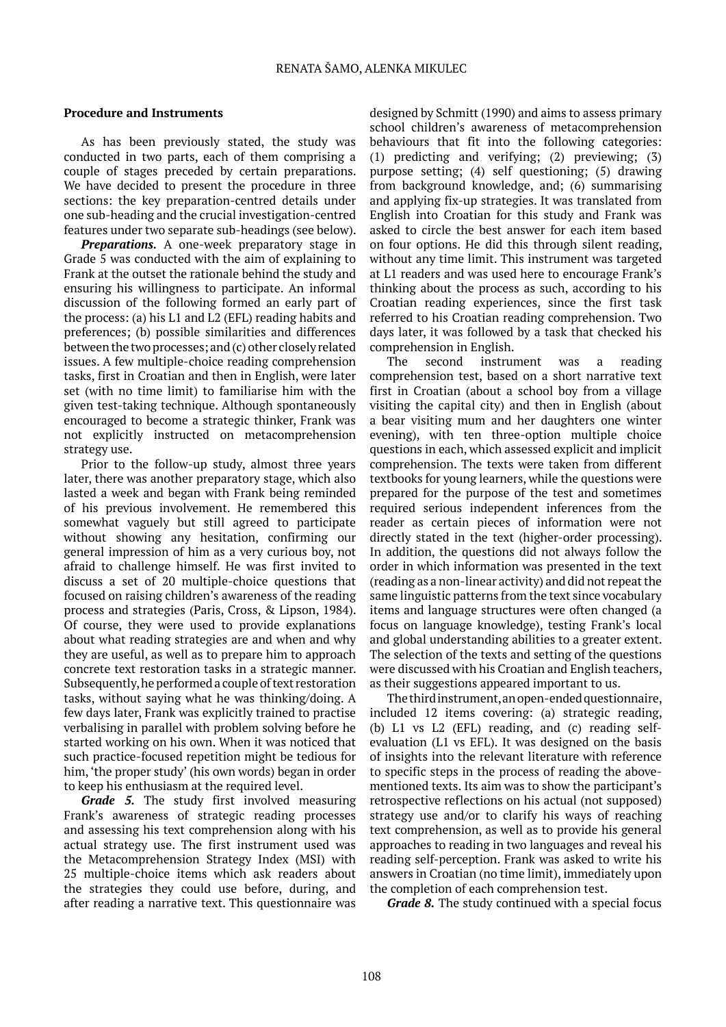### **Procedure and Instruments**

As has been previously stated, the study was conducted in two parts, each of them comprising a couple of stages preceded by certain preparations. We have decided to present the procedure in three sections: the key preparation-centred details under one sub-heading and the crucial investigation-centred features under two separate sub-headings (see below).

*Preparations.* A one-week preparatory stage in Grade 5 was conducted with the aim of explaining to Frank at the outset the rationale behind the study and ensuring his willingness to participate. An informal discussion of the following formed an early part of the process: (a) his L1 and L2 (EFL) reading habits and preferences; (b) possible similarities and differences between the two processes; and (c) other closely related issues. A few multiple-choice reading comprehension tasks, first in Croatian and then in English, were later set (with no time limit) to familiarise him with the given test-taking technique. Although spontaneously encouraged to become a strategic thinker, Frank was not explicitly instructed on metacomprehension strategy use.

Prior to the follow-up study, almost three years later, there was another preparatory stage, which also lasted a week and began with Frank being reminded of his previous involvement. He remembered this somewhat vaguely but still agreed to participate without showing any hesitation, confirming our general impression of him as a very curious boy, not afraid to challenge himself. He was first invited to discuss a set of 20 multiple-choice questions that focused on raising children's awareness of the reading process and strategies (Paris, Cross, & Lipson, 1984). Of course, they were used to provide explanations about what reading strategies are and when and why they are useful, as well as to prepare him to approach concrete text restoration tasks in a strategic manner. Subsequently, he performed a couple of text restoration tasks, without saying what he was thinking/doing. A few days later, Frank was explicitly trained to practise verbalising in parallel with problem solving before he started working on his own. When it was noticed that such practice-focused repetition might be tedious for him, 'the proper study' (his own words) began in order to keep his enthusiasm at the required level.

*Grade 5.* The study first involved measuring Frank's awareness of strategic reading processes and assessing his text comprehension along with his actual strategy use. The first instrument used was the Metacomprehension Strategy Index (MSI) with 25 multiple-choice items which ask readers about the strategies they could use before, during, and after reading a narrative text. This questionnaire was

designed by Schmitt (1990) and aims to assess primary school children's awareness of metacomprehension behaviours that fit into the following categories: (1) predicting and verifying; (2) previewing; (3) purpose setting; (4) self questioning; (5) drawing from background knowledge, and; (6) summarising and applying fix-up strategies. It was translated from English into Croatian for this study and Frank was asked to circle the best answer for each item based on four options. He did this through silent reading, without any time limit. This instrument was targeted at L1 readers and was used here to encourage Frank's thinking about the process as such, according to his Croatian reading experiences, since the first task referred to his Croatian reading comprehension. Two days later, it was followed by a task that checked his comprehension in English.

The second instrument was a reading comprehension test, based on a short narrative text first in Croatian (about a school boy from a village visiting the capital city) and then in English (about a bear visiting mum and her daughters one winter evening), with ten three-option multiple choice questions in each, which assessed explicit and implicit comprehension. The texts were taken from different textbooks for young learners, while the questions were prepared for the purpose of the test and sometimes required serious independent inferences from the reader as certain pieces of information were not directly stated in the text (higher-order processing). In addition, the questions did not always follow the order in which information was presented in the text (reading as a non-linear activity) and did not repeat the same linguistic patterns from the text since vocabulary items and language structures were often changed (a focus on language knowledge), testing Frank's local and global understanding abilities to a greater extent. The selection of the texts and setting of the questions were discussed with his Croatian and English teachers, as their suggestions appeared important to us.

The third instrument, an open-ended questionnaire, included 12 items covering: (a) strategic reading, (b) L1 vs L2 (EFL) reading, and (c) reading selfevaluation (L1 vs EFL). It was designed on the basis of insights into the relevant literature with reference to specific steps in the process of reading the abovementioned texts. Its aim was to show the participant's retrospective reflections on his actual (not supposed) strategy use and/or to clarify his ways of reaching text comprehension, as well as to provide his general approaches to reading in two languages and reveal his reading self-perception. Frank was asked to write his answers in Croatian (no time limit), immediately upon the completion of each comprehension test.

*Grade 8.* The study continued with a special focus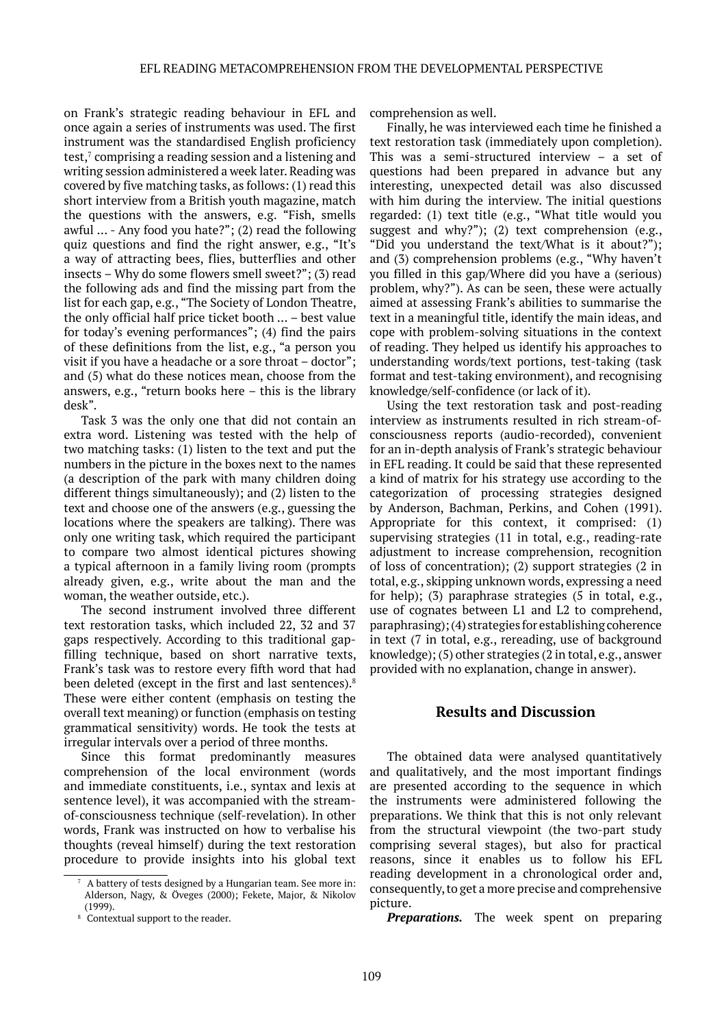on Frank's strategic reading behaviour in EFL and once again a series of instruments was used. The first instrument was the standardised English proficiency test,<sup>7</sup> comprising a reading session and a listening and writing session administered a week later. Reading was covered by five matching tasks, as follows: (1) read this short interview from a British youth magazine, match the questions with the answers, e.g. "Fish, smells awful … - Any food you hate?"; (2) read the following quiz questions and find the right answer, e.g., "It's a way of attracting bees, flies, butterflies and other insects – Why do some flowers smell sweet?"; (3) read the following ads and find the missing part from the list for each gap, e.g., "The Society of London Theatre, the only official half price ticket booth … – best value for today's evening performances"; (4) find the pairs of these definitions from the list, e.g., "a person you visit if you have a headache or a sore throat – doctor"; and (5) what do these notices mean, choose from the answers, e.g., "return books here – this is the library desk".

Task 3 was the only one that did not contain an extra word. Listening was tested with the help of two matching tasks: (1) listen to the text and put the numbers in the picture in the boxes next to the names (a description of the park with many children doing different things simultaneously); and (2) listen to the text and choose one of the answers (e.g., guessing the locations where the speakers are talking). There was only one writing task, which required the participant to compare two almost identical pictures showing a typical afternoon in a family living room (prompts already given, e.g., write about the man and the woman, the weather outside, etc.).

The second instrument involved three different text restoration tasks, which included 22, 32 and 37 gaps respectively. According to this traditional gapfilling technique, based on short narrative texts, Frank's task was to restore every fifth word that had been deleted (except in the first and last sentences).<sup>8</sup> These were either content (emphasis on testing the overall text meaning) or function (emphasis on testing grammatical sensitivity) words. He took the tests at irregular intervals over a period of three months.

Since this format predominantly measures comprehension of the local environment (words and immediate constituents, i.e., syntax and lexis at sentence level), it was accompanied with the streamof-consciousness technique (self-revelation). In other words, Frank was instructed on how to verbalise his thoughts (reveal himself) during the text restoration procedure to provide insights into his global text comprehension as well.

Finally, he was interviewed each time he finished a text restoration task (immediately upon completion). This was a semi-structured interview – a set of questions had been prepared in advance but any interesting, unexpected detail was also discussed with him during the interview. The initial questions regarded: (1) text title (e.g., "What title would you suggest and why?"); (2) text comprehension (e.g., "Did you understand the text/What is it about?"); and (3) comprehension problems (e.g., "Why haven't you filled in this gap/Where did you have a (serious) problem, why?"). As can be seen, these were actually aimed at assessing Frank's abilities to summarise the text in a meaningful title, identify the main ideas, and cope with problem-solving situations in the context of reading. They helped us identify his approaches to understanding words/text portions, test-taking (task format and test-taking environment), and recognising knowledge/self-confidence (or lack of it).

Using the text restoration task and post-reading interview as instruments resulted in rich stream-ofconsciousness reports (audio-recorded), convenient for an in-depth analysis of Frank's strategic behaviour in EFL reading. It could be said that these represented a kind of matrix for his strategy use according to the categorization of processing strategies designed by Anderson, Bachman, Perkins, and Cohen (1991). Appropriate for this context, it comprised: (1) supervising strategies (11 in total, e.g., reading-rate adjustment to increase comprehension, recognition of loss of concentration); (2) support strategies (2 in total, e.g., skipping unknown words, expressing a need for help); (3) paraphrase strategies (5 in total, e.g., use of cognates between L1 and L2 to comprehend, paraphrasing); (4) strategies for establishing coherence in text (7 in total, e.g., rereading, use of background knowledge); (5) other strategies (2 in total, e.g., answer provided with no explanation, change in answer).

### **Results and Discussion**

The obtained data were analysed quantitatively and qualitatively, and the most important findings are presented according to the sequence in which the instruments were administered following the preparations. We think that this is not only relevant from the structural viewpoint (the two-part study comprising several stages), but also for practical reasons, since it enables us to follow his EFL reading development in a chronological order and, consequently, to get a more precise and comprehensive picture.

*Preparations.* The week spent on preparing

<sup>7</sup> A battery of tests designed by a Hungarian team. See more in: Alderson, Nagy, & Öveges (2000); Fekete, Major, & Nikolov (1999).

<sup>8</sup> Contextual support to the reader.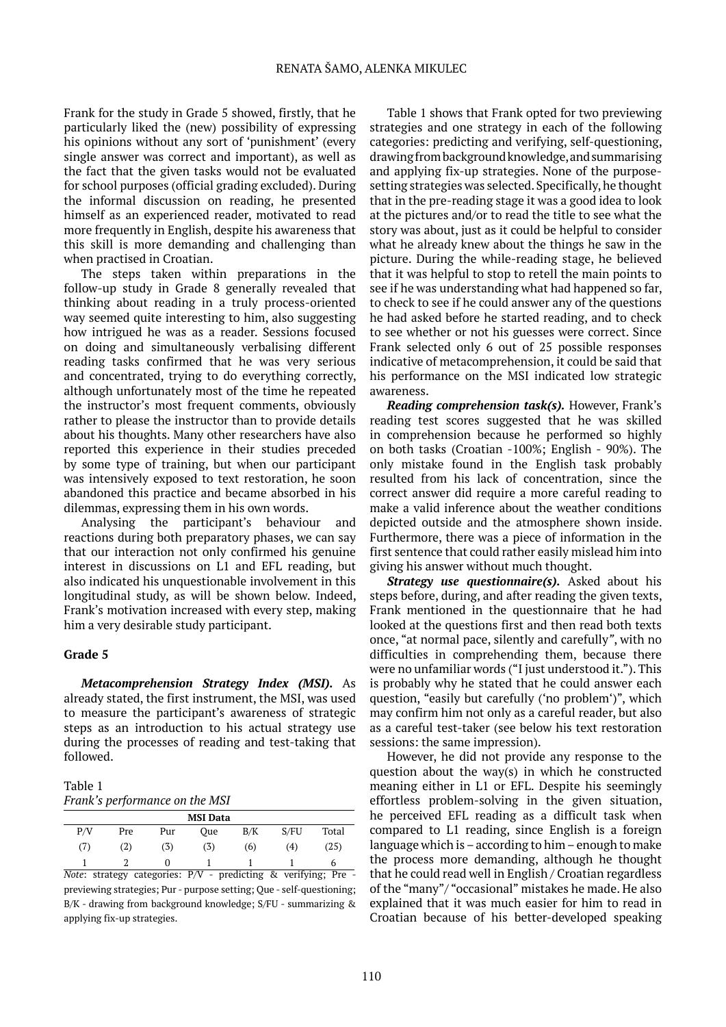Frank for the study in Grade 5 showed, firstly, that he particularly liked the (new) possibility of expressing his opinions without any sort of 'punishment' (every single answer was correct and important), as well as the fact that the given tasks would not be evaluated for school purposes (official grading excluded). During the informal discussion on reading, he presented himself as an experienced reader, motivated to read more frequently in English, despite his awareness that this skill is more demanding and challenging than when practised in Croatian.

The steps taken within preparations in the follow-up study in Grade 8 generally revealed that thinking about reading in a truly process-oriented way seemed quite interesting to him, also suggesting how intrigued he was as a reader. Sessions focused on doing and simultaneously verbalising different reading tasks confirmed that he was very serious and concentrated, trying to do everything correctly, although unfortunately most of the time he repeated the instructor's most frequent comments, obviously rather to please the instructor than to provide details about his thoughts. Many other researchers have also reported this experience in their studies preceded by some type of training, but when our participant was intensively exposed to text restoration, he soon abandoned this practice and became absorbed in his dilemmas, expressing them in his own words.

Analysing the participant's behaviour and reactions during both preparatory phases, we can say that our interaction not only confirmed his genuine interest in discussions on L1 and EFL reading, but also indicated his unquestionable involvement in this longitudinal study, as will be shown below. Indeed, Frank's motivation increased with every step, making him a very desirable study participant.

#### **Grade 5**

*Metacomprehension Strategy Index (MSI).* As already stated, the first instrument, the MSI, was used to measure the participant's awareness of strategic steps as an introduction to his actual strategy use during the processes of reading and test-taking that followed.

Table 1 *Frank's performance on the MSI*

| <b>MSI</b> Data |     |     |     |     |      |       |  |  |  |  |
|-----------------|-----|-----|-----|-----|------|-------|--|--|--|--|
| P/V             | Pre | Pur | Oue | B/K | S/FU | Total |  |  |  |  |
| (7)             | (2) | (3) | (3) | (6) | (4)  | (25)  |  |  |  |  |
|                 |     |     |     |     |      | b     |  |  |  |  |

*Note*: strategy categories: P/V - predicting & verifying; Pre previewing strategies; Pur - purpose setting; Que - self-questioning; B/K - drawing from background knowledge; S/FU - summarizing & applying fix-up strategies.

Table 1 shows that Frank opted for two previewing strategies and one strategy in each of the following categories: predicting and verifying, self-questioning, drawing frombackground knowledge, and summarising and applying fix-up strategies. None of the purposesetting strategies was selected. Specifically, he thought that in the pre-reading stage it was a good idea to look at the pictures and/or to read the title to see what the story was about, just as it could be helpful to consider what he already knew about the things he saw in the picture. During the while-reading stage, he believed that it was helpful to stop to retell the main points to see if he was understanding what had happened so far, to check to see if he could answer any of the questions he had asked before he started reading, and to check to see whether or not his guesses were correct. Since Frank selected only 6 out of 25 possible responses indicative of metacomprehension, it could be said that his performance on the MSI indicated low strategic awareness.

*Reading comprehension task(s).* However, Frank's reading test scores suggested that he was skilled in comprehension because he performed so highly on both tasks (Croatian -100%; English - 90%). The only mistake found in the English task probably resulted from his lack of concentration, since the correct answer did require a more careful reading to make a valid inference about the weather conditions depicted outside and the atmosphere shown inside. Furthermore, there was a piece of information in the first sentence that could rather easily mislead him into giving his answer without much thought.

*Strategy use questionnaire(s).* Asked about his steps before, during, and after reading the given texts, Frank mentioned in the questionnaire that he had looked at the questions first and then read both texts once, "at normal pace, silently and carefully*"*, with no difficulties in comprehending them, because there were no unfamiliar words ("I just understood it."). This is probably why he stated that he could answer each question, "easily but carefully ('no problem')", which may confirm him not only as a careful reader, but also as a careful test-taker (see below his text restoration sessions: the same impression).

However, he did not provide any response to the question about the way(s) in which he constructed meaning either in L1 or EFL. Despite his seemingly effortless problem-solving in the given situation, he perceived EFL reading as a difficult task when compared to L1 reading, since English is a foreign language which is – according to him – enough to make the process more demanding, although he thought that he could read well in English / Croatian regardless of the "many"/ "occasional" mistakes he made. He also explained that it was much easier for him to read in Croatian because of his better-developed speaking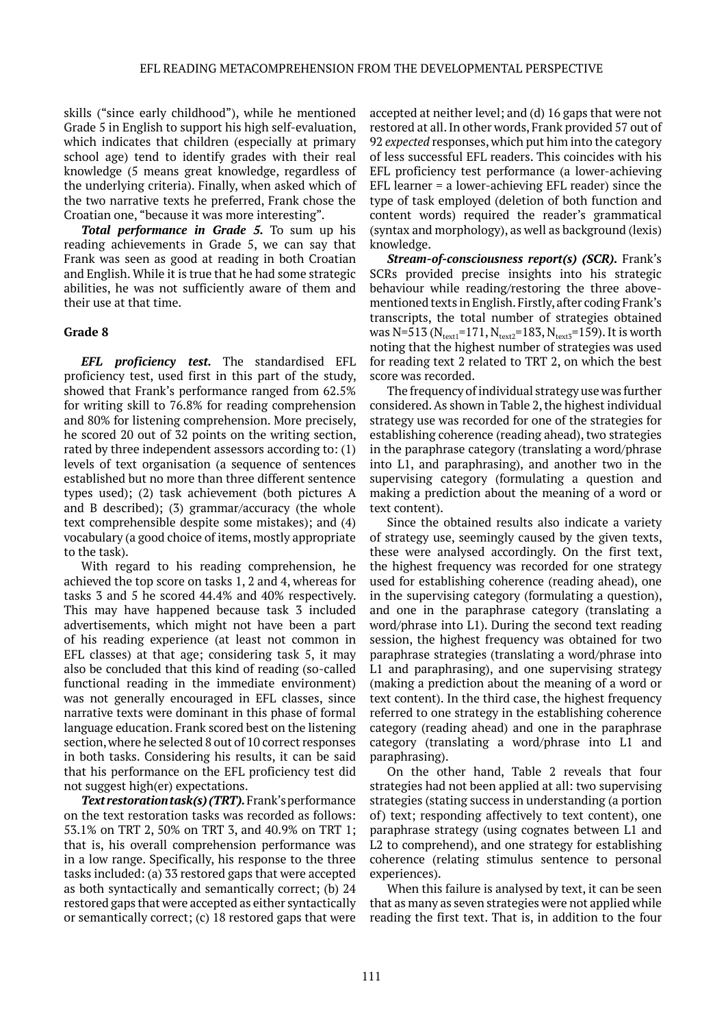skills ("since early childhood"), while he mentioned Grade 5 in English to support his high self-evaluation, which indicates that children (especially at primary school age) tend to identify grades with their real knowledge (5 means great knowledge, regardless of the underlying criteria). Finally, when asked which of the two narrative texts he preferred, Frank chose the Croatian one, "because it was more interesting".

*Total performance in Grade 5.* To sum up his reading achievements in Grade 5, we can say that Frank was seen as good at reading in both Croatian and English. While it is true that he had some strategic abilities, he was not sufficiently aware of them and their use at that time.

### **Grade 8**

*EFL proficiency test.* The standardised EFL proficiency test, used first in this part of the study, showed that Frank's performance ranged from 62.5% for writing skill to 76.8% for reading comprehension and 80% for listening comprehension. More precisely, he scored 20 out of 32 points on the writing section, rated by three independent assessors according to: (1) levels of text organisation (a sequence of sentences established but no more than three different sentence types used); (2) task achievement (both pictures A and B described); (3) grammar/accuracy (the whole text comprehensible despite some mistakes); and (4) vocabulary (a good choice of items, mostly appropriate to the task).

With regard to his reading comprehension, he achieved the top score on tasks 1, 2 and 4, whereas for tasks 3 and 5 he scored 44.4% and 40% respectively. This may have happened because task 3 included advertisements, which might not have been a part of his reading experience (at least not common in EFL classes) at that age; considering task 5, it may also be concluded that this kind of reading (so-called functional reading in the immediate environment) was not generally encouraged in EFL classes, since narrative texts were dominant in this phase of formal language education. Frank scored best on the listening section, where he selected 8 out of 10 correct responses in both tasks. Considering his results, it can be said that his performance on the EFL proficiency test did not suggest high(er) expectations.

*Text restoration task(s) (TRT).* Frank's performance on the text restoration tasks was recorded as follows: 53.1% on TRT 2, 50% on TRT 3, and 40.9% on TRT 1; that is, his overall comprehension performance was in a low range. Specifically, his response to the three tasks included: (a) 33 restored gaps that were accepted as both syntactically and semantically correct; (b) 24 restored gaps that were accepted as either syntactically or semantically correct; (c) 18 restored gaps that were

accepted at neither level; and (d) 16 gaps that were not restored at all. In other words, Frank provided 57 out of 92 *expected* responses, which put him into the category of less successful EFL readers. This coincides with his EFL proficiency test performance (a lower-achieving EFL learner = a lower-achieving EFL reader) since the type of task employed (deletion of both function and content words) required the reader's grammatical (syntax and morphology), as well as background (lexis) knowledge.

*Stream-of-consciousness report(s) (SCR).* Frank's SCRs provided precise insights into his strategic behaviour while reading/restoring the three abovementioned texts in English. Firstly, after coding Frank's transcripts, the total number of strategies obtained was N=513 ( $N_{text1}$ =171,  $N_{text2}$ =183,  $N_{text3}$ =159). It is worth noting that the highest number of strategies was used for reading text 2 related to TRT 2, on which the best score was recorded.

The frequency of individual strategy use was further considered. As shown in Table 2, the highest individual strategy use was recorded for one of the strategies for establishing coherence (reading ahead), two strategies in the paraphrase category (translating a word/phrase into L1, and paraphrasing), and another two in the supervising category (formulating a question and making a prediction about the meaning of a word or text content).

Since the obtained results also indicate a variety of strategy use, seemingly caused by the given texts, these were analysed accordingly. On the first text, the highest frequency was recorded for one strategy used for establishing coherence (reading ahead), one in the supervising category (formulating a question), and one in the paraphrase category (translating a word/phrase into L1). During the second text reading session, the highest frequency was obtained for two paraphrase strategies (translating a word/phrase into L1 and paraphrasing), and one supervising strategy (making a prediction about the meaning of a word or text content). In the third case, the highest frequency referred to one strategy in the establishing coherence category (reading ahead) and one in the paraphrase category (translating a word/phrase into L1 and paraphrasing).

On the other hand, Table 2 reveals that four strategies had not been applied at all: two supervising strategies (stating success in understanding (a portion of) text; responding affectively to text content), one paraphrase strategy (using cognates between L1 and L2 to comprehend), and one strategy for establishing coherence (relating stimulus sentence to personal experiences).

When this failure is analysed by text, it can be seen that as many as seven strategies were not applied while reading the first text. That is, in addition to the four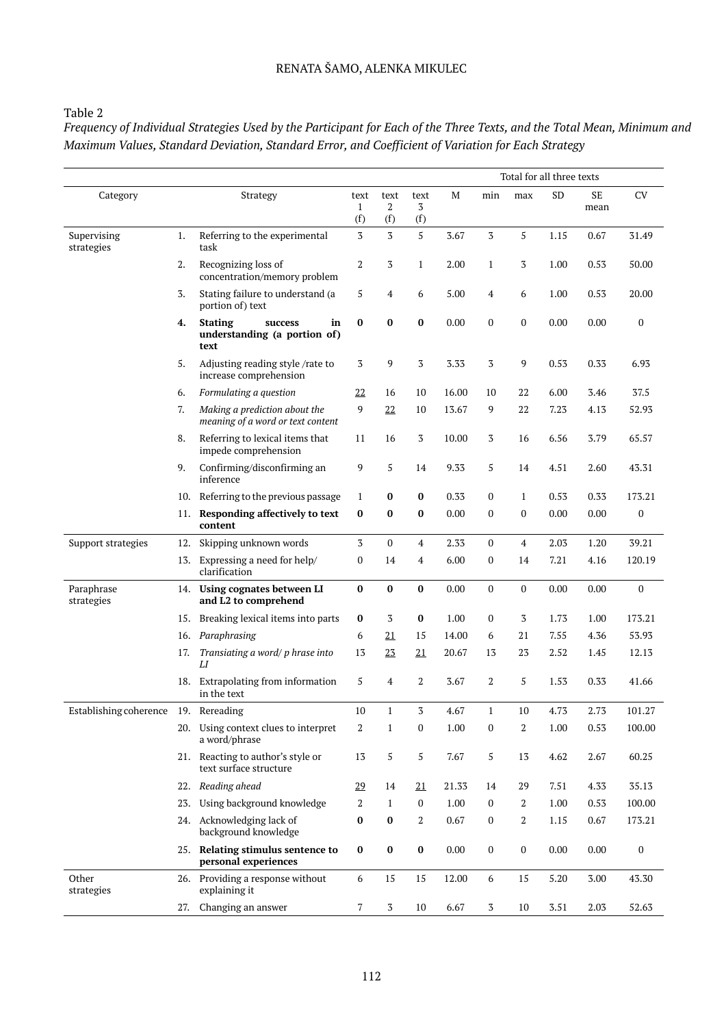### RENATA ŠAMO, ALENKA MIKULEC

### Table 2

*Frequency of Individual Strategies Used by the Participant for Each of the Three Texts, and the Total Mean, Minimum and Maximum Values, Standard Deviation, Standard Error, and Coefficient of Variation for Each Strategy*

|                                      |     |                                                                         |                  |                  |                  |       | Total for all three texts |                  |           |                   |                  |
|--------------------------------------|-----|-------------------------------------------------------------------------|------------------|------------------|------------------|-------|---------------------------|------------------|-----------|-------------------|------------------|
| Category                             |     | Strategy                                                                | text<br>1<br>(f) | text<br>2<br>(f) | text<br>3<br>(f) | M     | min                       | max              | <b>SD</b> | <b>SE</b><br>mean | <b>CV</b>        |
| Supervising<br>strategies            | 1.  | Referring to the experimental<br>task                                   | 3                | $\overline{3}$   | 5                | 3.67  | 3                         | 5                | 1.15      | 0.67              | 31.49            |
|                                      | 2.  | Recognizing loss of<br>concentration/memory problem                     | 2                | 3                | $\mathbf{1}$     | 2.00  | $\mathbf{1}$              | 3                | 1.00      | 0.53              | 50.00            |
|                                      | 3.  | Stating failure to understand (a<br>portion of) text                    | 5                | 4                | 6                | 5.00  | 4                         | 6                | 1.00      | 0.53              | 20.00            |
|                                      | 4.  | <b>Stating</b><br>in<br>success<br>understanding (a portion of)<br>text | $\bf{0}$         | $\bf{0}$         | $\bf{0}$         | 0.00  | $\boldsymbol{0}$          | $\boldsymbol{0}$ | 0.00      | 0.00              | $\mathbf{0}$     |
|                                      | 5.  | Adjusting reading style /rate to<br>increase comprehension              | 3                | 9                | 3                | 3.33  | 3                         | 9                | 0.53      | 0.33              | 6.93             |
|                                      | 6.  | Formulating a question                                                  | 22               | 16               | 10               | 16.00 | 10                        | 22               | 6.00      | 3.46              | 37.5             |
|                                      | 7.  | Making a prediction about the<br>meaning of a word or text content      | 9                | 22               | 10               | 13.67 | 9                         | 22               | 7.23      | 4.13              | 52.93            |
|                                      | 8.  | Referring to lexical items that<br>impede comprehension                 | 11               | 16               | 3                | 10.00 | 3                         | 16               | 6.56      | 3.79              | 65.57            |
|                                      | 9.  | Confirming/disconfirming an<br>inference                                | 9                | 5                | 14               | 9.33  | 5                         | 14               | 4.51      | 2.60              | 43.31            |
|                                      | 10. | Referring to the previous passage                                       | 1                | $\bf{0}$         | $\bf{0}$         | 0.33  | $\mathbf{0}$              | $\mathbf{1}$     | 0.53      | 0.33              | 173.21           |
|                                      | 11. | Responding affectively to text<br>content                               | $\bf{0}$         | $\bf{0}$         | $\bf{0}$         | 0.00  | $\mathbf{0}$              | $\mathbf{0}$     | 0.00      | 0.00              | $\boldsymbol{0}$ |
| Support strategies                   | 12. | Skipping unknown words                                                  | 3                | $\mathbf{0}$     | $\overline{4}$   | 2.33  | $\mathbf{0}$              | 4                | 2.03      | 1.20              | 39.21            |
|                                      | 13. | Expressing a need for help/<br>clarification                            | $\bf{0}$         | 14               | 4                | 6.00  | 0                         | 14               | 7.21      | 4.16              | 120.19           |
| Paraphrase<br>strategies             |     | 14. Using cognates between LI<br>and L2 to comprehend                   | $\bf{0}$         | $\bf{0}$         | $\bf{0}$         | 0.00  | $\boldsymbol{0}$          | $\boldsymbol{0}$ | 0.00      | 0.00              | $\mathbf{0}$     |
|                                      | 15. | Breaking lexical items into parts                                       | $\bf{0}$         | 3                | $\bf{0}$         | 1.00  | 0                         | 3                | 1.73      | 1.00              | 173.21           |
|                                      | 16. | Paraphrasing                                                            | 6                | 21               | 15               | 14.00 | 6                         | 21               | 7.55      | 4.36              | 53.93            |
|                                      | 17. | Transiating a word/ p hrase into<br>LI                                  | 13               | 23               | $\underline{21}$ | 20.67 | 13                        | 23               | 2.52      | 1.45              | 12.13            |
|                                      |     | 18. Extrapolating from information<br>in the text                       | 5                | 4                | 2                | 3.67  | 2                         | 5                | 1.53      | 0.33              | 41.66            |
| Establishing coherence 19. Rereading |     |                                                                         | 10               | 1                | 3                | 4.67  | $\mathbf{1}$              | 10               | 4.73      | 2.73              | 101.27           |
|                                      |     | 20. Using context clues to interpret<br>a word/phrase                   | $\boldsymbol{2}$ | $\mathbf{1}$     | 0                | 1.00  | 0                         | $\overline{2}$   | 1.00      | 0.53              | 100.00           |
|                                      |     | 21. Reacting to author's style or<br>text surface structure             | 13               | 5                | 5                | 7.67  | 5                         | 13               | 4.62      | 2.67              | 60.25            |
|                                      | 22. | Reading ahead                                                           | 29               | 14               | 21               | 21.33 | 14                        | 29               | 7.51      | 4.33              | 35.13            |
|                                      | 23. | Using background knowledge                                              | 2                | $\mathbf{1}$     | $\mathbf{0}$     | 1.00  | 0                         | 2                | 1.00      | 0.53              | 100.00           |
|                                      |     | 24. Acknowledging lack of<br>background knowledge                       | $\bf{0}$         | $\bf{0}$         | 2                | 0.67  | 0                         | 2                | 1.15      | 0.67              | 173.21           |
|                                      |     | 25. Relating stimulus sentence to<br>personal experiences               | $\bf{0}$         | $\pmb{0}$        | $\bf{0}$         | 0.00  | 0                         | $\boldsymbol{0}$ | 0.00      | 0.00              | $\boldsymbol{0}$ |
| Other<br>strategies                  |     | 26. Providing a response without<br>explaining it                       | 6                | 15               | 15               | 12.00 | 6                         | 15               | 5.20      | 3.00              | 43.30            |
|                                      | 27. | Changing an answer                                                      | 7                | 3                | 10               | 6.67  | 3                         | 10               | 3.51      | 2.03              | 52.63            |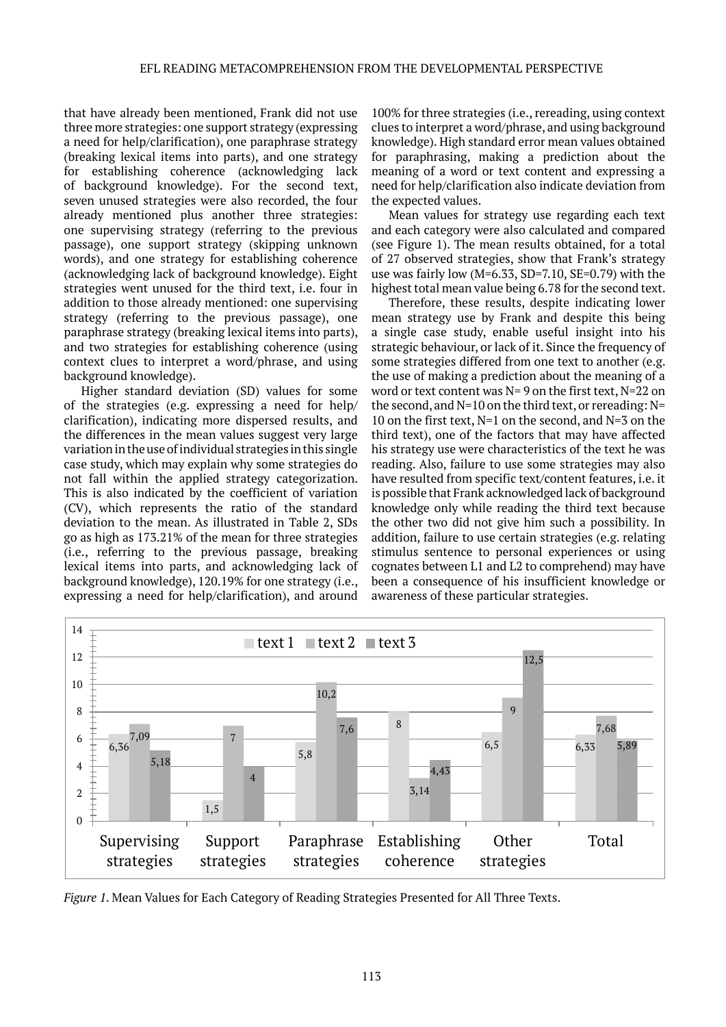that have already been mentioned, Frank did not use three more strategies: one support strategy (expressing a need for help/clarification), one paraphrase strategy (breaking lexical items into parts), and one strategy for establishing coherence (acknowledging lack of background knowledge). For the second text, seven unused strategies were also recorded, the four already mentioned plus another three strategies: one supervising strategy (referring to the previous passage), one support strategy (skipping unknown words), and one strategy for establishing coherence (acknowledging lack of background knowledge). Eight strategies went unused for the third text, i.e. four in addition to those already mentioned: one supervising strategy (referring to the previous passage), one paraphrase strategy (breaking lexical items into parts), and two strategies for establishing coherence (using context clues to interpret a word/phrase, and using background knowledge).

Higher standard deviation (SD) values for some of the strategies (e.g. expressing a need for help/ clarification), indicating more dispersed results, and the differences in the mean values suggest very large variation in the use of individual strategies in this single case study, which may explain why some strategies do not fall within the applied strategy categorization. This is also indicated by the coefficient of variation (CV), which represents the ratio of the standard deviation to the mean. As illustrated in Table 2, SDs go as high as 173.21% of the mean for three strategies (i.e., referring to the previous passage, breaking lexical items into parts, and acknowledging lack of background knowledge), 120.19% for one strategy (i.e., expressing a need for help/clarification), and around

100% for three strategies (i.e., rereading, using context clues to interpret a word/phrase, and using background knowledge). High standard error mean values obtained for paraphrasing, making a prediction about the meaning of a word or text content and expressing a need for help/clarification also indicate deviation from the expected values.

Mean values for strategy use regarding each text and each category were also calculated and compared (see Figure 1). The mean results obtained, for a total of 27 observed strategies, show that Frank's strategy use was fairly low (M=6.33, SD=7.10, SE=0.79) with the highest total mean value being 6.78 for the second text.

Therefore, these results, despite indicating lower mean strategy use by Frank and despite this being a single case study, enable useful insight into his strategic behaviour, or lack of it. Since the frequency of some strategies differed from one text to another (e.g. the use of making a prediction about the meaning of a word or text content was N= 9 on the first text, N=22 on the second, and N=10 on the third text, or rereading: N= 10 on the first text, N=1 on the second, and N=3 on the third text), one of the factors that may have affected his strategy use were characteristics of the text he was reading. Also, failure to use some strategies may also have resulted from specific text/content features, i.e. it is possible that Frank acknowledged lack of background knowledge only while reading the third text because the other two did not give him such a possibility. In addition, failure to use certain strategies (e.g. relating stimulus sentence to personal experiences or using cognates between L1 and L2 to comprehend) may have been a consequence of his insufficient knowledge or awareness of these particular strategies.



*Figure 1*. Mean Values for Each Category of Reading Strategies Presented for All Three Texts.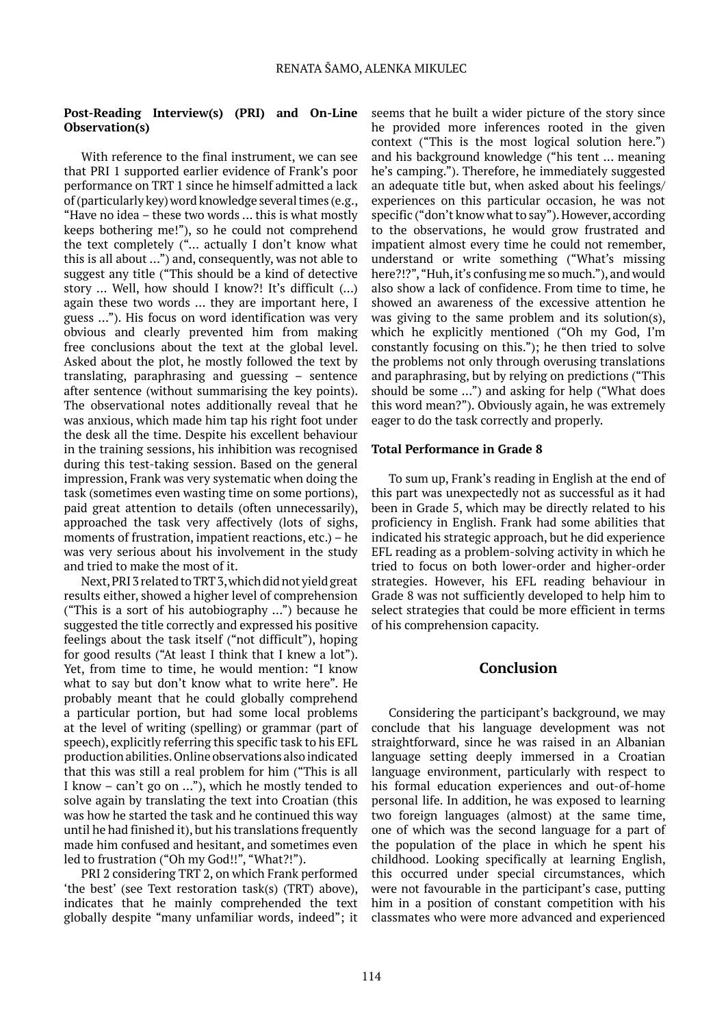### **Post-Reading Interview(s) (PRI) and On-Line Observation(s)**

With reference to the final instrument, we can see that PRI 1 supported earlier evidence of Frank's poor performance on TRT 1 since he himself admitted a lack of (particularly key) word knowledge several times (e.g., "Have no idea – these two words … this is what mostly keeps bothering me!"), so he could not comprehend the text completely ("… actually I don't know what this is all about …") and, consequently, was not able to suggest any title ("This should be a kind of detective story … Well, how should I know?! It's difficult (…) again these two words … they are important here, I guess …"). His focus on word identification was very obvious and clearly prevented him from making free conclusions about the text at the global level. Asked about the plot, he mostly followed the text by translating, paraphrasing and guessing – sentence after sentence (without summarising the key points). The observational notes additionally reveal that he was anxious, which made him tap his right foot under the desk all the time. Despite his excellent behaviour in the training sessions, his inhibition was recognised during this test-taking session. Based on the general impression, Frank was very systematic when doing the task (sometimes even wasting time on some portions), paid great attention to details (often unnecessarily), approached the task very affectively (lots of sighs, moments of frustration, impatient reactions, etc.) – he was very serious about his involvement in the study and tried to make the most of it.

Next, PRI 3 related to TRT 3, which did not yield great results either, showed a higher level of comprehension ("This is a sort of his autobiography …") because he suggested the title correctly and expressed his positive feelings about the task itself ("not difficult"), hoping for good results ("At least I think that I knew a lot"). Yet, from time to time, he would mention: "I know what to say but don't know what to write here". He probably meant that he could globally comprehend a particular portion, but had some local problems at the level of writing (spelling) or grammar (part of speech), explicitly referring this specific task to his EFL production abilities. Online observations also indicated that this was still a real problem for him ("This is all I know – can't go on …"), which he mostly tended to solve again by translating the text into Croatian (this was how he started the task and he continued this way until he had finished it), but his translations frequently made him confused and hesitant, and sometimes even led to frustration ("Oh my God!!", "What?!").

PRI 2 considering TRT 2, on which Frank performed 'the best' (see Text restoration task(s) (TRT) above), indicates that he mainly comprehended the text globally despite "many unfamiliar words, indeed"; it seems that he built a wider picture of the story since he provided more inferences rooted in the given context ("This is the most logical solution here.") and his background knowledge ("his tent … meaning he's camping."). Therefore, he immediately suggested an adequate title but, when asked about his feelings/ experiences on this particular occasion, he was not specific ("don't know what to say"). However, according to the observations, he would grow frustrated and impatient almost every time he could not remember, understand or write something ("What's missing here?!?", "Huh, it's confusing me so much."), and would also show a lack of confidence. From time to time, he showed an awareness of the excessive attention he was giving to the same problem and its solution(s), which he explicitly mentioned ("Oh my God, I'm constantly focusing on this."); he then tried to solve the problems not only through overusing translations and paraphrasing, but by relying on predictions ("This should be some …") and asking for help ("What does this word mean?"). Obviously again, he was extremely eager to do the task correctly and properly.

### **Total Performance in Grade 8**

To sum up, Frank's reading in English at the end of this part was unexpectedly not as successful as it had been in Grade 5, which may be directly related to his proficiency in English. Frank had some abilities that indicated his strategic approach, but he did experience EFL reading as a problem-solving activity in which he tried to focus on both lower-order and higher-order strategies. However, his EFL reading behaviour in Grade 8 was not sufficiently developed to help him to select strategies that could be more efficient in terms of his comprehension capacity.

### **Conclusion**

Considering the participant's background, we may conclude that his language development was not straightforward, since he was raised in an Albanian language setting deeply immersed in a Croatian language environment, particularly with respect to his formal education experiences and out-of-home personal life. In addition, he was exposed to learning two foreign languages (almost) at the same time, one of which was the second language for a part of the population of the place in which he spent his childhood. Looking specifically at learning English, this occurred under special circumstances, which were not favourable in the participant's case, putting him in a position of constant competition with his classmates who were more advanced and experienced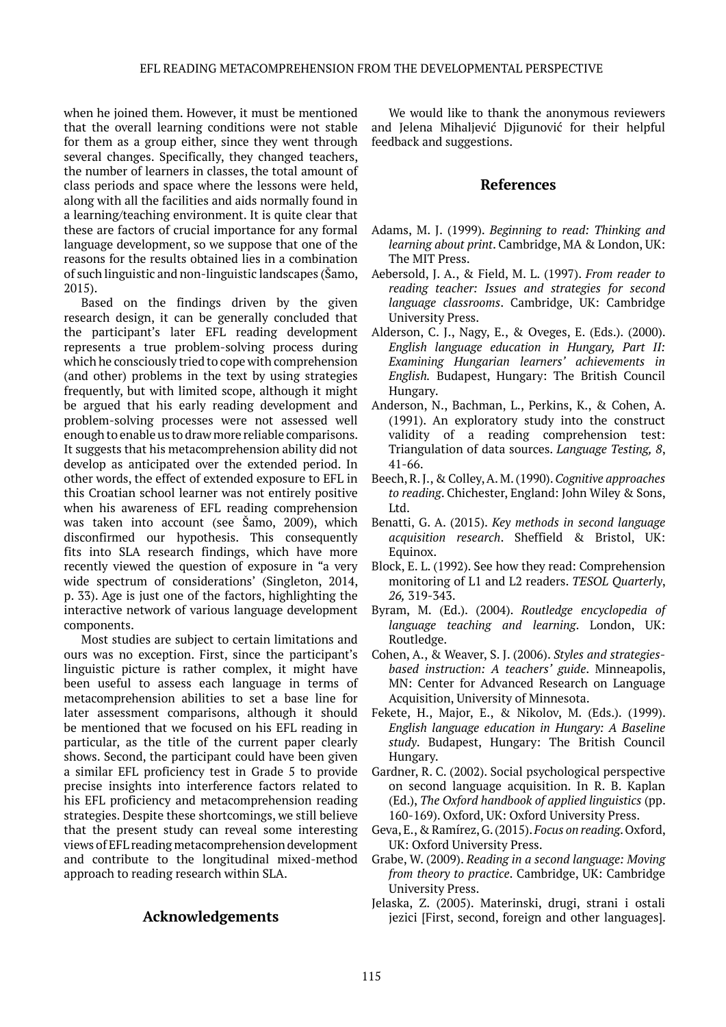when he joined them. However, it must be mentioned that the overall learning conditions were not stable for them as a group either, since they went through several changes. Specifically, they changed teachers, the number of learners in classes, the total amount of class periods and space where the lessons were held, along with all the facilities and aids normally found in a learning/teaching environment. It is quite clear that these are factors of crucial importance for any formal language development, so we suppose that one of the reasons for the results obtained lies in a combination of such linguistic and non-linguistic landscapes (Šamo, 2015).

Based on the findings driven by the given research design, it can be generally concluded that the participant's later EFL reading development represents a true problem-solving process during which he consciously tried to cope with comprehension (and other) problems in the text by using strategies frequently, but with limited scope, although it might be argued that his early reading development and problem-solving processes were not assessed well enough to enable us to draw more reliable comparisons. It suggests that his metacomprehension ability did not develop as anticipated over the extended period. In other words, the effect of extended exposure to EFL in this Croatian school learner was not entirely positive when his awareness of EFL reading comprehension was taken into account (see Šamo, 2009), which disconfirmed our hypothesis. This consequently fits into SLA research findings, which have more recently viewed the question of exposure in "a very wide spectrum of considerations' (Singleton, 2014, p. 33). Age is just one of the factors, highlighting the interactive network of various language development components.

Most studies are subject to certain limitations and ours was no exception. First, since the participant's linguistic picture is rather complex, it might have been useful to assess each language in terms of metacomprehension abilities to set a base line for later assessment comparisons, although it should be mentioned that we focused on his EFL reading in particular, as the title of the current paper clearly shows. Second, the participant could have been given a similar EFL proficiency test in Grade 5 to provide precise insights into interference factors related to his EFL proficiency and metacomprehension reading strategies. Despite these shortcomings, we still believe that the present study can reveal some interesting views of EFL reading metacomprehension development and contribute to the longitudinal mixed-method approach to reading research within SLA.

### **Acknowledgements**

We would like to thank the anonymous reviewers and Jelena Mihaljević Djigunović for their helpful feedback and suggestions.

### **References**

- Adams, M. J. (1999). *Beginning to read: Thinking and learning about print*. Cambridge, MA & London, UK: The MIT Press.
- Aebersold, J. A., & Field, M. L. (1997). *From reader to reading teacher: Issues and strategies for second language classrooms*. Cambridge, UK: Cambridge University Press.
- Alderson, C. J., Nagy, E., & Oveges, E. (Eds.). (2000). *English language education in Hungary, Part II: Examining Hungarian learners' achievements in English.* Budapest, Hungary: The British Council Hungary.
- Anderson, N., Bachman, L., Perkins, K., & Cohen, A. (1991). An exploratory study into the construct validity of a reading comprehension test: Triangulation of data sources. *Language Testing, 8*, 41-66.
- Beech, R. J., & Colley, A. M. (1990). *Cognitive approaches to reading*. Chichester, England: John Wiley & Sons, Ltd.
- Benatti, G. A. (2015). *Key methods in second language acquisition research*. Sheffield & Bristol, UK: Equinox.
- Block, E. L. (1992). See how they read: Comprehension monitoring of L1 and L2 readers. *TESOL Quarterly*, *26,* 319-343.
- Byram, M. (Ed.). (2004). *Routledge encyclopedia of language teaching and learning*. London, UK: Routledge.
- Cohen, A., & Weaver, S. J. (2006). *Styles and strategiesbased instruction: A teachers' guide*. Minneapolis, MN: Center for Advanced Research on Language Acquisition, University of Minnesota.
- Fekete, H., Major, E., & Nikolov, M. (Eds.). (1999). *English language education in Hungary: A Baseline study*. Budapest, Hungary: The British Council Hungary.
- Gardner, R. C. (2002). Social psychological perspective on second language acquisition. In R. B. Kaplan (Ed.), *The Oxford handbook of applied linguistics* (pp. 160-169). Oxford, UK: Oxford University Press.
- Geva, E., & Ramírez, G. (2015). *Focus on reading*. Oxford, UK: Oxford University Press.
- Grabe, W. (2009). *Reading in a second language: Moving from theory to practice*. Cambridge, UK: Cambridge University Press.
- Jelaska, Z. (2005). Materinski, drugi, strani i ostali jezici [First, second, foreign and other languages].